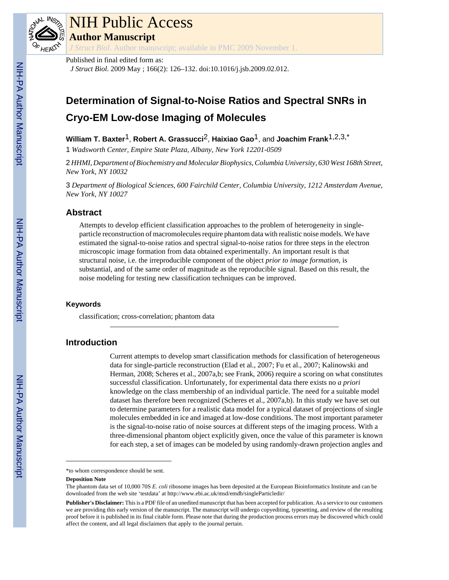

# NIH Public Access

**Author Manuscript**

*J Struct Biol*. Author manuscript; available in PMC 2009 November 1.

# Published in final edited form as:

*J Struct Biol*. 2009 May ; 166(2): 126–132. doi:10.1016/j.jsb.2009.02.012.

# **Determination of Signal-to-Noise Ratios and Spectral SNRs in Cryo-EM Low-dose Imaging of Molecules**

**William T. Baxter**1, **Robert A. Grassucci**2, **Haixiao Gao**1, and **Joachim Frank**1,2,3,\*

1 *Wadsworth Center, Empire State Plaza, Albany, New York 12201-0509*

2 *HHMI, Department of Biochemistry and Molecular Biophysics, Columbia University, 630 West 168th Street, New York, NY 10032*

3 *Department of Biological Sciences, 600 Fairchild Center, Columbia University, 1212 Amsterdam Avenue, New York, NY 10027*

# **Abstract**

Attempts to develop efficient classification approaches to the problem of heterogeneity in singleparticle reconstruction of macromolecules require phantom data with realistic noise models. We have estimated the signal-to-noise ratios and spectral signal-to-noise ratios for three steps in the electron microscopic image formation from data obtained experimentally. An important result is that structural noise, i.e. the irreproducible component of the object *prior to image formation*, is substantial, and of the same order of magnitude as the reproducible signal. Based on this result, the noise modeling for testing new classification techniques can be improved.

# **Keywords**

classification; cross-correlation; phantom data

# **Introduction**

Current attempts to develop smart classification methods for classification of heterogeneous data for single-particle reconstruction (Elad et al., 2007; Fu et al., 2007; Kalinowski and Herman, 2008; Scheres et al., 2007a,b; see Frank, 2006) require a scoring on what constitutes successful classification. Unfortunately, for experimental data there exists no *a priori* knowledge on the class membership of an individual particle. The need for a suitable model dataset has therefore been recognized (Scheres et al., 2007a,b). In this study we have set out to determine parameters for a realistic data model for a typical dataset of projections of single molecules embedded in ice and imaged at low-dose conditions. The most important parameter is the signal-to-noise ratio of noise sources at different steps of the imaging process. With a three-dimensional phantom object explicitly given, once the value of this parameter is known for each step, a set of images can be modeled by using randomly-drawn projection angles and

<sup>\*</sup>to whom correspondence should be sent.

**Deposition Note**

The phantom data set of 10,000 70S *E. coli* ribosome images has been deposited at the European Bioinformatics Institute and can be downloaded from the web site 'testdata' at<http://www.ebi.ac.uk/msd/emdb/singleParticledir/>

**Publisher's Disclaimer:** This is a PDF file of an unedited manuscript that has been accepted for publication. As a service to our customers we are providing this early version of the manuscript. The manuscript will undergo copyediting, typesetting, and review of the resulting proof before it is published in its final citable form. Please note that during the production process errors may be discovered which could affect the content, and all legal disclaimers that apply to the journal pertain.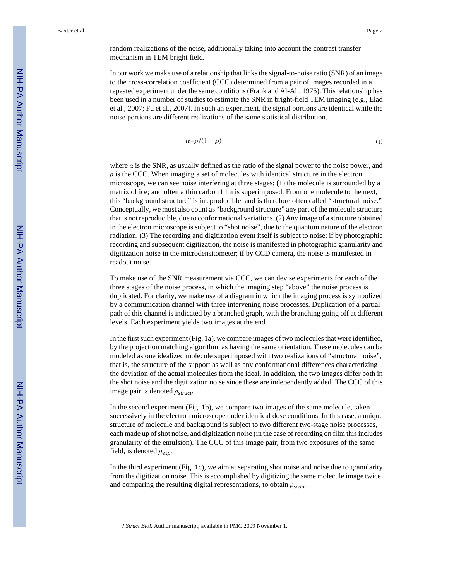random realizations of the noise, additionally taking into account the contrast transfer mechanism in TEM bright field.

In our work we make use of a relationship that links the signal-to-noise ratio (SNR) of an image to the cross-correlation coefficient (CCC) determined from a pair of images recorded in a repeated experiment under the same conditions (Frank and Al-Ali, 1975). This relationship has been used in a number of studies to estimate the SNR in bright-field TEM imaging (e.g., Elad et al., 2007; Fu et al., 2007). In such an experiment, the signal portions are identical while the noise portions are different realizations of the same statistical distribution.

$$
\alpha = \rho/(1-\rho) \tag{1}
$$

where  $\alpha$  is the SNR, as usually defined as the ratio of the signal power to the noise power, and  $\rho$  is the CCC. When imaging a set of molecules with identical structure in the electron microscope, we can see noise interfering at three stages: (1) the molecule is surrounded by a matrix of ice; and often a thin carbon film is superimposed. From one molecule to the next, this "background structure" is irreproducible, and is therefore often called "structural noise." Conceptually, we must also count as "background structure" any part of the molecule structure that is not reproducible, due to conformational variations. (2) Any image of a structure obtained in the electron microscope is subject to "shot noise", due to the quantum nature of the electron radiation. (3) The recording and digitization event itself is subject to noise: if by photographic recording and subsequent digitization, the noise is manifested in photographic granularity and digitization noise in the microdensitometer; if by CCD camera, the noise is manifested in readout noise.

To make use of the SNR measurement via CCC, we can devise experiments for each of the three stages of the noise process, in which the imaging step "above" the noise process is duplicated. For clarity, we make use of a diagram in which the imaging process is symbolized by a communication channel with three intervening noise processes. Duplication of a partial path of this channel is indicated by a branched graph, with the branching going off at different levels. Each experiment yields two images at the end.

In the first such experiment (Fig. 1a), we compare images of two molecules that were identified, by the projection matching algorithm, as having the same orientation. These molecules can be modeled as one idealized molecule superimposed with two realizations of "structural noise", that is, the structure of the support as well as any conformational differences characterizing the deviation of the actual molecules from the ideal. In addition, the two images differ both in the shot noise and the digitization noise since these are independently added. The CCC of this image pair is denoted *ρstruct*.

In the second experiment (Fig. 1b), we compare two images of the same molecule, taken successively in the electron microscope under identical dose conditions. In this case, a unique structure of molecule and background is subject to two different two-stage noise processes, each made up of shot noise, and digitization noise (in the case of recording on film this includes granularity of the emulsion). The CCC of this image pair, from two exposures of the same field, is denoted *ρexp*.

In the third experiment (Fig. 1c), we aim at separating shot noise and noise due to granularity from the digitization noise. This is accomplished by digitizing the same molecule image twice, and comparing the resulting digital representations, to obtain *ρscan.*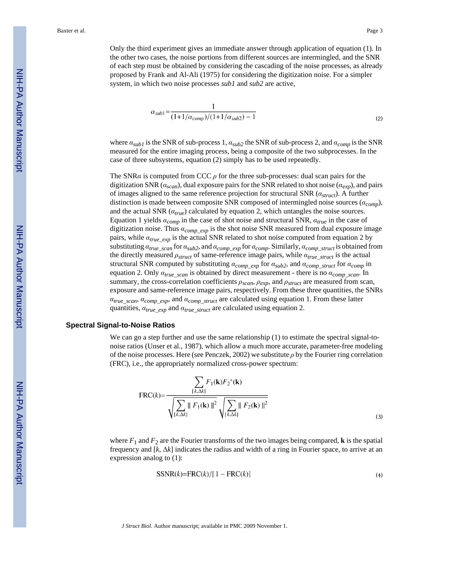Only the third experiment gives an immediate answer through application of equation (1). In the other two cases, the noise portions from different sources are intermingled, and the SNR of each step must be obtained by considering the cascading of the noise processes, as already proposed by Frank and Al-Ali (1975) for considering the digitization noise. For a simpler system, in which two noise processes *sub1* and *sub2* are active,

$$
\alpha_{sub1} = \frac{1}{(1 + 1/\alpha_{comp})/(1 + 1/\alpha_{sub2}) - 1}
$$
\n(2)

where *αsub1* is the SNR of sub-process 1, *αsub2* the SNR of sub-process 2, and *αcomp* is the SNR measured for the entire imaging process, being a composite of the two subprocesses. In the case of three subsystems, equation (2) simply has to be used repeatedly.

The SNR*α* is computed from CCC *ρ* for the three sub-processes: dual scan pairs for the digitization SNR (*αscan*), dual exposure pairs for the SNR related to shot noise (*αexp*), and pairs of images aligned to the same reference projection for structural SNR (*αstruct*). A further distinction is made between composite SNR composed of intermingled noise sources (*αcomp*), and the actual SNR (*αtrue*) calculated by equation 2, which untangles the noise sources. Equation 1 yields *αcomp* in the case of shot noise and structural SNR, *αtrue* in the case of digitization noise. Thus *αcomp\_exp* is the shot noise SNR measured from dual exposure image pairs, while *αtrue\_exp* is the actual SNR related to shot noise computed from equation 2 by substituting *αtrue\_scan* for *αsub2*, and *αcomp\_exp* for *αcomp*. Similarly, *αcomp\_struct* is obtained from the directly measured *ρstruct* of same-reference image pairs, while *αtrue\_struct* is the actual structural SNR computed by substituting *αcomp\_exp* for *αsub2*, and *αcomp\_struct* for *αcomp* in equation 2. Only *αtrue\_scan* is obtained by direct measurement - there is no *αcomp\_scan*. In summary, the cross-correlation coefficients *ρscan*, *ρexp*, and *ρstruct* are measured from scan, exposure and same-reference image pairs, respectively. From these three quantities, the SNRs *αtrue\_scan*, *αcomp\_exp*, and *αcomp\_struct* are calculated using equation 1. From these latter quantities, *αtrue\_exp* and *αtrue\_struct* are calculated using equation 2.

#### **Spectral Signal-to-Noise Ratios**

We can go a step further and use the same relationship (1) to estimate the spectral signal-tonoise ratios (Unser et al., 1987), which allow a much more accurate, parameter-free modeling of the noise processes. Here (see Penczek, 2002) we substitute *ρ* by the Fourier ring correlation (FRC), i.e., the appropriately normalized cross-power spectrum:

$$
FRC(k) = \frac{\sum_{[k,\Delta k]} F_1(\mathbf{k}) F_2^*(\mathbf{k})}{\sqrt{\sum_{[k,\Delta k]} || F_1(\mathbf{k}) ||^2} \sqrt{\sum_{[k,\Delta k]} || F_2(\mathbf{k}) ||^2}}
$$
(3)

where  $F_1$  and  $F_2$  are the Fourier transforms of the two images being compared, **k** is the spatial frequency and  $[k, \Delta k]$  indicates the radius and width of a ring in Fourier space, to arrive at an expression analog to (1):

$$
SSNR(k) = FRC(k)/[1 - FRC(k)] \tag{4}
$$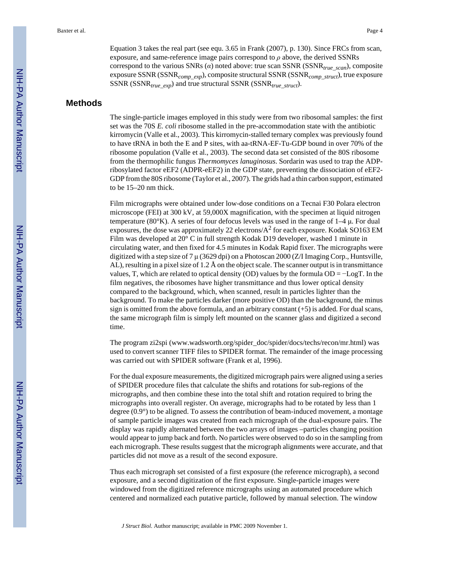Equation 3 takes the real part (see equ. 3.65 in Frank (2007), p. 130). Since FRCs from scan, exposure, and same-reference image pairs correspond to *ρ* above, the derived SSNRs

correspond to the various SNRs (*α*) noted above: true scan SSNR (SSNR*true\_scan*), composite exposure SSNR (SSNR*comp\_exp*), composite structural SSNR (SSNR*comp\_struct*), true exposure SSNR (SSNR*true\_exp*) and true structural SSNR (SSNR*true\_struct*).

# **Methods**

The single-particle images employed in this study were from two ribosomal samples: the first set was the 70S *E. coli* ribosome stalled in the pre-accommodation state with the antibiotic kirromycin (Valle et al., 2003). This kirromycin-stalled ternary complex was previously found to have tRNA in both the E and P sites, with aa-tRNA-EF-Tu-GDP bound in over 70% of the ribosome population (Valle et al., 2003). The second data set consisted of the 80S ribosome from the thermophilic fungus *Thermomyces lanuginosus*. Sordarin was used to trap the ADPribosylated factor eEF2 (ADPR-eEF2) in the GDP state, preventing the dissociation of eEF2- GDP from the 80S ribosome (Taylor et al., 2007). The grids had a thin carbon support, estimated to be 15–20 nm thick.

Film micrographs were obtained under low-dose conditions on a Tecnai F30 Polara electron microscope (FEI) at 300 kV, at 59,000X magnification, with the specimen at liquid nitrogen temperature (80°K). A series of four defocus levels was used in the range of 1–4 μ. For dual exposures, the dose was approximately 22 electrons/ $A^2$  for each exposure. Kodak SO163 EM Film was developed at 20° C in full strength Kodak D19 developer, washed 1 minute in circulating water, and then fixed for 4.5 minutes in Kodak Rapid fixer. The micrographs were digitized with a step size of 7 μ (3629 dpi) on a Photoscan 2000 (Z/I Imaging Corp., Huntsville, AL), resulting in a pixel size of 1.2 Å on the object scale. The scanner output is in transmittance values, T, which are related to optical density (OD) values by the formula  $OD = -LogT$ . In the film negatives, the ribosomes have higher transmittance and thus lower optical density compared to the background, which, when scanned, result in particles lighter than the background. To make the particles darker (more positive OD) than the background, the minus sign is omitted from the above formula, and an arbitrary constant  $(+5)$  is added. For dual scans, the same micrograph film is simply left mounted on the scanner glass and digitized a second time.

The program zi2spi (www.wadsworth.org/spider\_doc/spider/docs/techs/recon/mr.html) was used to convert scanner TIFF files to SPIDER format. The remainder of the image processing was carried out with SPIDER software (Frank et al, 1996).

For the dual exposure measurements, the digitized micrograph pairs were aligned using a series of SPIDER procedure files that calculate the shifts and rotations for sub-regions of the micrographs, and then combine these into the total shift and rotation required to bring the micrographs into overall register. On average, micrographs had to be rotated by less than 1 degree  $(0.9^{\circ})$  to be aligned. To assess the contribution of beam-induced movement, a montage of sample particle images was created from each micrograph of the dual-exposure pairs. The display was rapidly alternated between the two arrays of images –particles changing position would appear to jump back and forth. No particles were observed to do so in the sampling from each micrograph. These results suggest that the micrograph alignments were accurate, and that particles did not move as a result of the second exposure.

Thus each micrograph set consisted of a first exposure (the reference micrograph), a second exposure, and a second digitization of the first exposure. Single-particle images were windowed from the digitized reference micrographs using an automated procedure which centered and normalized each putative particle, followed by manual selection. The window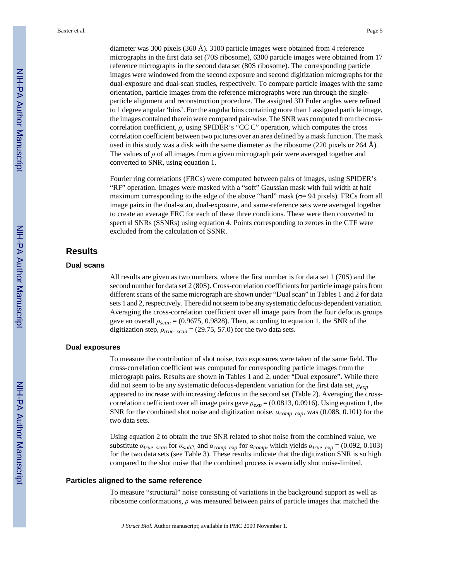diameter was 300 pixels (360 Å). 3100 particle images were obtained from 4 reference micrographs in the first data set (70S ribosome), 6300 particle images were obtained from 17 reference micrographs in the second data set (80S ribosome). The corresponding particle images were windowed from the second exposure and second digitization micrographs for the dual-exposure and dual-scan studies, respectively. To compare particle images with the same orientation, particle images from the reference micrographs were run through the singleparticle alignment and reconstruction procedure. The assigned 3D Euler angles were refined to 1 degree angular 'bins'. For the angular bins containing more than 1 assigned particle image, the images contained therein were compared pair-wise. The SNR was computed from the crosscorrelation coefficient, *ρ*, using SPIDER's "CC C" operation, which computes the cross correlation coefficient between two pictures over an area defined by a mask function. The mask used in this study was a disk with the same diameter as the ribosome (220 pixels or 264 Å). The values of  $\rho$  of all images from a given micrograph pair were averaged together and converted to SNR, using equation 1.

Fourier ring correlations (FRCs) were computed between pairs of images, using SPIDER's "RF" operation. Images were masked with a "soft" Gaussian mask with full width at half maximum corresponding to the edge of the above "hard" mask ( $\sigma$ = 94 pixels). FRCs from all image pairs in the dual-scan, dual-exposure, and same-reference sets were averaged together to create an average FRC for each of these three conditions. These were then converted to spectral SNRs (SSNRs) using equation 4. Points corresponding to zeroes in the CTF were excluded from the calculation of SSNR.

#### **Results**

#### **Dual scans**

All results are given as two numbers, where the first number is for data set 1 (70S) and the second number for data set 2 (80S). Cross-correlation coefficients for particle image pairs from different scans of the same micrograph are shown under "Dual scan" in Tables 1 and 2 for data sets 1 and 2, respectively. There did not seem to be any systematic defocus-dependent variation. Averaging the cross-correlation coefficient over all image pairs from the four defocus groups gave an overall  $\rho_{scan} = (0.9675, 0.9828)$ . Then, according to equation 1, the SNR of the digitization step,  $\rho_{true\ scan} = (29.75, 57.0)$  for the two data sets.

#### **Dual exposures**

To measure the contribution of shot noise, two exposures were taken of the same field. The cross-correlation coefficient was computed for corresponding particle images from the micrograph pairs. Results are shown in Tables 1 and 2, under "Dual exposure". While there did not seem to be any systematic defocus-dependent variation for the first data set, *ρexp* appeared to increase with increasing defocus in the second set (Table 2). Averaging the crosscorrelation coefficient over all image pairs gave  $\rho_{exp} = (0.0813, 0.0916)$ . Using equation 1, the SNR for the combined shot noise and digitization noise, *αcomp\_exp*, was (0.088, 0.101) for the two data sets.

Using equation 2 to obtain the true SNR related to shot noise from the combined value, we substitute  $a_{true\_scan}$  for  $a_{sub2}$ , and  $a_{comp\_exp}$  for  $a_{comp}$ , which yields  $a_{true\_exp} = (0.092, 0.103)$ for the two data sets (see Table 3). These results indicate that the digitization SNR is so high compared to the shot noise that the combined process is essentially shot noise-limited.

#### **Particles aligned to the same reference**

To measure "structural" noise consisting of variations in the background support as well as ribosome conformations, *ρ* was measured between pairs of particle images that matched the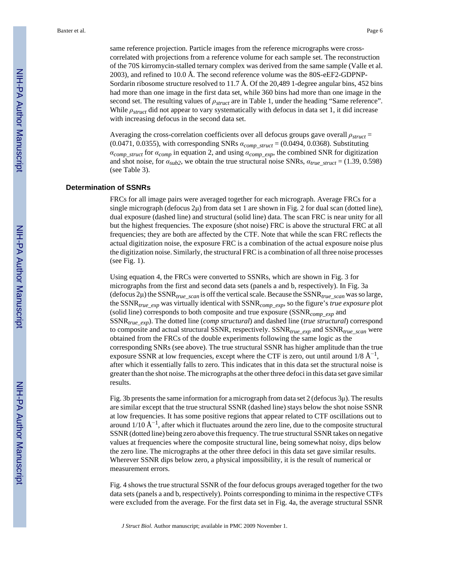same reference projection. Particle images from the reference micrographs were crosscorrelated with projections from a reference volume for each sample set. The reconstruction of the 70S kirromycin-stalled ternary complex was derived from the same sample (Valle et al. 2003), and refined to 10.0 Å. The second reference volume was the 80S-eEF2-GDPNP-Sordarin ribosome structure resolved to 11.7 Å. Of the 20,489 1-degree angular bins, 452 bins had more than one image in the first data set, while 360 bins had more than one image in the second set. The resulting values of *ρstruct* are in Table 1, under the heading "Same reference". While *ρstruct* did not appear to vary systematically with defocus in data set 1, it did increase with increasing defocus in the second data set.

Averaging the cross-correlation coefficients over all defocus groups gave overall *ρstruct* = (0.0471, 0.0355), with corresponding SNRs *αcomp\_struct* = (0.0494, 0.0368). Substituting *αcomp\_struct* for *αcomp* in equation 2, and using *αcomp\_exp*, the combined SNR for digitization and shot noise, for  $a_{sub2}$ , we obtain the true structural noise SNRs,  $a_{true}$  struct = (1.39, 0.598) (see Table 3).

#### **Determination of SSNRs**

FRCs for all image pairs were averaged together for each micrograph. Average FRCs for a single micrograph (defocus  $2\mu$ ) from data set 1 are shown in Fig. 2 for dual scan (dotted line), dual exposure (dashed line) and structural (solid line) data. The scan FRC is near unity for all but the highest frequencies. The exposure (shot noise) FRC is above the structural FRC at all frequencies; they are both are affected by the CTF. Note that while the scan FRC reflects the actual digitization noise, the exposure FRC is a combination of the actual exposure noise plus the digitization noise. Similarly, the structural FRC is a combination of all three noise processes (see Fig. 1).

Using equation 4, the FRCs were converted to SSNRs, which are shown in Fig. 3 for micrographs from the first and second data sets (panels a and b, respectively). In Fig. 3a (defocus 2μ) the SSNR*true\_scan* is off the vertical scale. Because the SSNR*true\_scan* was so large, the SSNR*true\_exp* was virtually identical with SSNR*comp\_exp*, so the figure's *true exposure* plot (solid line) corresponds to both composite and true exposure (SSNR*comp\_exp* and SSNR*true\_exp*). The dotted line (*comp structural*) and dashed line (*true structural*) correspond to composite and actual structural SSNR, respectively. SSNR<sub>true\_exp</sub> and SSNR<sub>true\_scan</sub> were obtained from the FRCs of the double experiments following the same logic as the corresponding SNRs (see above). The true structural SSNR has higher amplitude than the true exposure SSNR at low frequencies, except where the CTF is zero, out until around  $1/8 \text{ Å}^{-1}$ , after which it essentially falls to zero. This indicates that in this data set the structural noise is greater than the shot noise. The micrographs at the other three defoci in this data set gave similar results.

Fig. 3b presents the same information for a micrograph from data set 2 (defocus  $3\mu$ ). The results are similar except that the true structural SSNR (dashed line) stays below the shot noise SSNR at low frequencies. It has some positive regions that appear related to CTF oscillations out to around 1/10 Å−<sup>1</sup> , after which it fluctuates around the zero line, due to the composite structural SSNR (dotted line) being zero above this frequency. The true structural SSNR takes on negative values at frequencies where the composite structural line, being somewhat noisy, dips below the zero line. The micrographs at the other three defoci in this data set gave similar results. Wherever SSNR dips below zero, a physical impossibility, it is the result of numerical or measurement errors.

Fig. 4 shows the true structural SSNR of the four defocus groups averaged together for the two data sets (panels a and b, respectively). Points corresponding to minima in the respective CTFs were excluded from the average. For the first data set in Fig. 4a, the average structural SSNR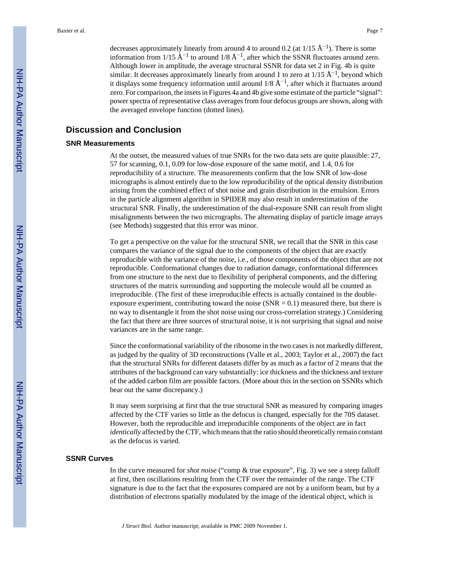decreases approximately linearly from around 4 to around 0.2 (at  $1/15 \text{ Å}^{-1}$ ). There is some information from 1/15  $\AA^{-1}$  to around 1/8  $\AA^{-1}$ , after which the SSNR fluctuates around zero. Although lower in amplitude, the average structural SSNR for data set 2 in Fig. 4b is quite similar. It decreases approximately linearly from around 1 to zero at  $1/15$   $\text{\AA}^{-1}$ , beyond which it displays some frequency information until around  $1/8$  Å<sup>-1</sup>, after which it fluctuates around zero. For comparison, the insets in Figures 4a and 4b give some estimate of the particle "signal": power spectra of representative class averages from four defocus groups are shown, along with the averaged envelope function (dotted lines).

# **Discussion and Conclusion**

#### **SNR Measurements**

At the outset, the measured values of true SNRs for the two data sets are quite plausible: 27, 57 for scanning, 0.1, 0.09 for low-dose exposure of the same motif, and 1.4, 0.6 for reproducibility of a structure. The measurements confirm that the low SNR of low-dose micrographs is almost entirely due to the low reproducibility of the optical density distribution arising from the combined effect of shot noise and grain distribution in the emulsion. Errors in the particle alignment algorithm in SPIDER may also result in underestimation of the structural SNR. Finally, the underestimation of the dual-exposure SNR can result from slight misalignments between the two micrographs. The alternating display of particle image arrays (see Methods) suggested that this error was minor.

To get a perspective on the value for the structural SNR, we recall that the SNR in this case compares the variance of the signal due to the components of the object that are exactly reproducible with the variance of the noise, i.e., of those components of the object that are not reproducible. Conformational changes due to radiation damage, conformational differences from one structure to the next due to flexibility of peripheral components, and the differing structures of the matrix surrounding and supporting the molecule would all be counted as irreproducible. (The first of these irreproducible effects is actually contained in the doubleexposure experiment, contributing toward the noise  $(SNR = 0.1)$  measured there, but there is no way to disentangle it from the shot noise using our cross-correlation strategy.) Considering the fact that there are three sources of structural noise, it is not surprising that signal and noise variances are in the same range.

Since the conformational variability of the ribosome in the two cases is not markedly different, as judged by the quality of 3D reconstructions (Valle et al., 2003; Taylor et al., 2007) the fact that the structural SNRs for different datasets differ by as much as a factor of 2 means that the attributes of the background can vary substantially: ice thickness and the thickness and texture of the added carbon film are possible factors. (More about this in the section on SSNRs which bear out the same discrepancy.)

It may seem surprising at first that the true structural SNR as measured by comparing images affected by the CTF varies so little as the defocus is changed, especially for the 70S dataset. However, both the reproducible and irreproducible components of the object are in fact *identically* affected by the CTF, which means that the ratio should theoretically remain constant as the defocus is varied.

#### **SSNR Curves**

In the curve measured for *shot noise* ("comp & true exposure", Fig. 3) we see a steep falloff at first, then oscillations resulting from the CTF over the remainder of the range. The CTF signature is due to the fact that the exposures compared are not by a uniform beam, but by a distribution of electrons spatially modulated by the image of the identical object, which is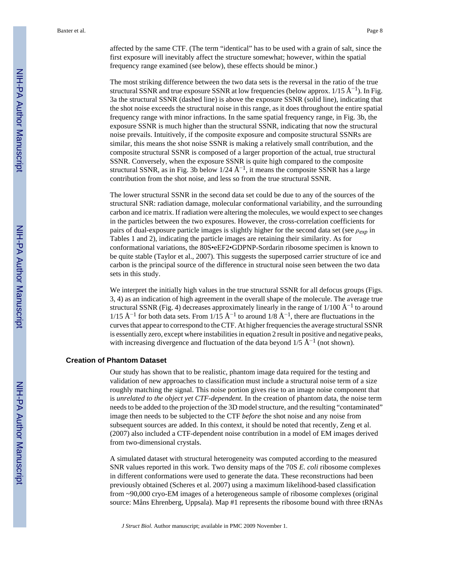affected by the same CTF. (The term "identical" has to be used with a grain of salt, since the first exposure will inevitably affect the structure somewhat; however, within the spatial frequency range examined (see below), these effects should be minor.)

The most striking difference between the two data sets is the reversal in the ratio of the true structural SSNR and true exposure SSNR at low frequencies (below approx.  $1/15 \text{ Å}^{-1}$ ). In Fig. 3a the structural SSNR (dashed line) is above the exposure SSNR (solid line), indicating that the shot noise exceeds the structural noise in this range, as it does throughout the entire spatial frequency range with minor infractions. In the same spatial frequency range, in Fig. 3b, the exposure SSNR is much higher than the structural SSNR, indicating that now the structural noise prevails. Intuitively, if the composite exposure and composite structural SSNRs are similar, this means the shot noise SSNR is making a relatively small contribution, and the composite structural SSNR is composed of a larger proportion of the actual, true structural SSNR. Conversely, when the exposure SSNR is quite high compared to the composite structural SSNR, as in Fig. 3b below  $1/24 \text{ Å}^{-1}$ , it means the composite SSNR has a large contribution from the shot noise, and less so from the true structural SSNR.

The lower structural SSNR in the second data set could be due to any of the sources of the structural SNR: radiation damage, molecular conformational variability, and the surrounding carbon and ice matrix. If radiation were altering the molecules, we would expect to see changes in the particles between the two exposures. However, the cross-correlation coefficients for pairs of dual-exposure particle images is slightly higher for the second data set (see *ρexp* in Tables 1 and 2), indicating the particle images are retaining their similarity. As for conformational variations, the 80S•eEF2•GDPNP-Sordarin ribosome specimen is known to be quite stable (Taylor et al., 2007). This suggests the superposed carrier structure of ice and carbon is the principal source of the difference in structural noise seen between the two data sets in this study.

We interpret the initially high values in the true structural SSNR for all defocus groups (Figs. 3, 4) as an indication of high agreement in the overall shape of the molecule. The average true structural SSNR (Fig. 4) decreases approximately linearly in the range of  $1/100 \text{ Å}^{-1}$  to around 1/15 Å<sup>-1</sup> for both data sets. From 1/15 Å<sup>-1</sup> to around 1/8 Å<sup>-1</sup>, there are fluctuations in the curves that appear to correspond to the CTF. At higher frequencies the average structural SSNR is essentially zero, except where instabilities in equation 2 result in positive and negative peaks, with increasing divergence and fluctuation of the data beyond  $1/5$   $\rm \AA^{-1}$  (not shown).

#### **Creation of Phantom Dataset**

Our study has shown that to be realistic, phantom image data required for the testing and validation of new approaches to classification must include a structural noise term of a size roughly matching the signal. This noise portion gives rise to an image noise component that is *unrelated to the object yet CTF-dependent.* In the creation of phantom data, the noise term needs to be added to the projection of the 3D model structure, and the resulting "contaminated" image then needs to be subjected to the CTF *before* the shot noise and any noise from subsequent sources are added. In this context, it should be noted that recently, Zeng et al. (2007) also included a CTF-dependent noise contribution in a model of EM images derived from two-dimensional crystals.

A simulated dataset with structural heterogeneity was computed according to the measured SNR values reported in this work. Two density maps of the 70S *E. coli* ribosome complexes in different conformations were used to generate the data. These reconstructions had been previously obtained (Scheres et al. 2007) using a maximum likelihood-based classification from ~90,000 cryo-EM images of a heterogeneous sample of ribosome complexes (original source: Måns Ehrenberg, Uppsala). Map #1 represents the ribosome bound with three tRNAs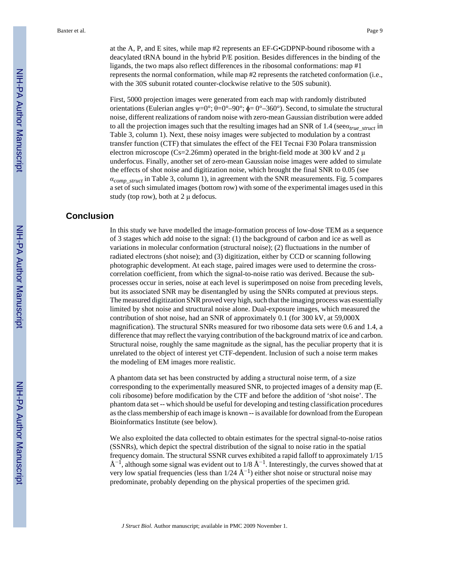at the A, P, and E sites, while map #2 represents an EF-G•GDPNP-bound ribosome with a deacylated tRNA bound in the hybrid P/E position. Besides differences in the binding of the ligands, the two maps also reflect differences in the ribosomal conformations: map #1 represents the normal conformation, while map #2 represents the ratcheted conformation (i.e., with the 30S subunit rotated counter-clockwise relative to the 50S subunit).

First, 5000 projection images were generated from each map with randomly distributed orientations (Eulerian angles  $\psi=0^{\circ}$ ;  $\theta=0^{\circ}-90^{\circ}$ ;  $\phi=0^{\circ}-360^{\circ}$ ). Second, to simulate the structural noise, different realizations of random noise with zero-mean Gaussian distribution were added to all the projection images such that the resulting images had an SNR of 1.4 (see*αtrue\_struct* in Table 3, column 1). Next, these noisy images were subjected to modulation by a contrast transfer function (CTF) that simulates the effect of the FEI Tecnai F30 Polara transmission electron microscope (Cs=2.26mm) operated in the bright-field mode at 300 kV and 2  $\mu$ underfocus. Finally, another set of zero-mean Gaussian noise images were added to simulate the effects of shot noise and digitization noise, which brought the final SNR to 0.05 (see *αcomp\_struct* in Table 3, column 1), in agreement with the SNR measurements. Fig. 5 compares a set of such simulated images (bottom row) with some of the experimental images used in this study (top row), both at 2 μ defocus.

# **Conclusion**

In this study we have modelled the image-formation process of low-dose TEM as a sequence of 3 stages which add noise to the signal: (1) the background of carbon and ice as well as variations in molecular conformation (structural noise); (2) fluctuations in the number of radiated electrons (shot noise); and (3) digitization, either by CCD or scanning following photographic development. At each stage, paired images were used to determine the crosscorrelation coefficient, from which the signal-to-noise ratio was derived. Because the subprocesses occur in series, noise at each level is superimposed on noise from preceding levels, but its associated SNR may be disentangled by using the SNRs computed at previous steps. The measured digitization SNR proved very high, such that the imaging process was essentially limited by shot noise and structural noise alone. Dual-exposure images, which measured the contribution of shot noise, had an SNR of approximately 0.1 (for 300 kV, at 59,000X magnification). The structural SNRs measured for two ribosome data sets were 0.6 and 1.4, a difference that may reflect the varying contribution of the background matrix of ice and carbon. Structural noise, roughly the same magnitude as the signal, has the peculiar property that it is unrelated to the object of interest yet CTF-dependent. Inclusion of such a noise term makes the modeling of EM images more realistic.

A phantom data set has been constructed by adding a structural noise term, of a size corresponding to the experimentally measured SNR, to projected images of a density map (E. coli ribosome) before modification by the CTF and before the addition of 'shot noise'. The phantom data set -- which should be useful for developing and testing classification procedures as the class membership of each image is known -- is available for download from the European Bioinformatics Institute (see below).

We also exploited the data collected to obtain estimates for the spectral signal-to-noise ratios (SSNRs), which depict the spectral distribution of the signal to noise ratio in the spatial frequency domain. The structural SSNR curves exhibited a rapid falloff to approximately 1/15  $\AA^{-1}$ , although some signal was evident out to 1/8  $\AA^{-1}$ . Interestingly, the curves showed that at very low spatial frequencies (less than  $1/24$  Å<sup>-1</sup>) either shot noise or structural noise may predominate, probably depending on the physical properties of the specimen grid.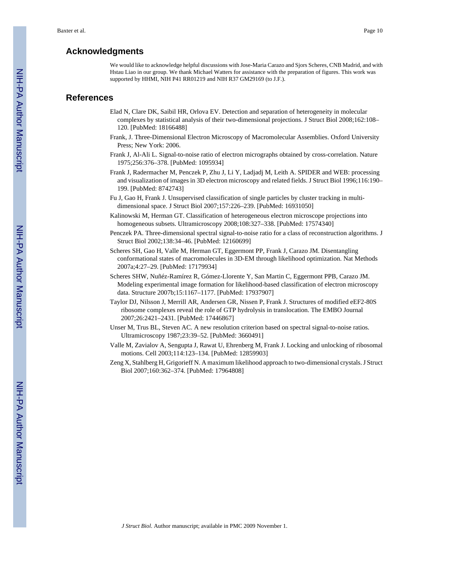# **Acknowledgments**

We would like to acknowledge helpful discussions with Jose-Maria Carazo and Sjors Scheres, CNB Madrid, and with Hstau Liao in our group. We thank Michael Watters for assistance with the preparation of figures. This work was supported by HHMI, NIH P41 RR01219 and NIH R37 GM29169 (to J.F.).

# **References**

- Elad N, Clare DK, Saibil HR, Orlova EV. Detection and separation of heterogeneity in molecular complexes by statistical analysis of their two-dimensional projections. J Struct Biol 2008;162:108– 120. [PubMed: 18166488]
- Frank, J. Three-Dimensional Electron Microscopy of Macromolecular Assemblies. Oxford University Press; New York: 2006.
- Frank J, Al-Ali L. Signal-to-noise ratio of electron micrographs obtained by cross-correlation. Nature 1975;256:376–378. [PubMed: 1095934]
- Frank J, Radermacher M, Penczek P, Zhu J, Li Y, Ladjadj M, Leith A. SPIDER and WEB: processing and visualization of images in 3D electron microscopy and related fields. J Struct Biol 1996;116:190– 199. [PubMed: 8742743]
- Fu J, Gao H, Frank J. Unsupervised classification of single particles by cluster tracking in multidimensional space. J Struct Biol 2007;157:226–239. [PubMed: 16931050]
- Kalinowski M, Herman GT. Classification of heterogeneous electron microscope projections into homogeneous subsets. Ultramicroscopy 2008;108:327–338. [PubMed: 17574340]
- Penczek PA. Three-dimensional spectral signal-to-noise ratio for a class of reconstruction algorithms. J Struct Biol 2002;138:34–46. [PubMed: 12160699]
- Scheres SH, Gao H, Valle M, Herman GT, Eggermont PP, Frank J, Carazo JM. Disentangling conformational states of macromolecules in 3D-EM through likelihood optimization. Nat Methods 2007a;4:27–29. [PubMed: 17179934]
- Scheres SHW, Nuñéz-Ramírez R, Gómez-Llorente Y, San Martin C, Eggermont PPB, Carazo JM. Modeling experimental image formation for likelihood-based classification of electron microscopy data. Structure 2007b;15:1167–1177. [PubMed: 17937907]
- Taylor DJ, Nilsson J, Merrill AR, Andersen GR, Nissen P, Frank J. Structures of modified eEF2-80S ribosome complexes reveal the role of GTP hydrolysis in translocation. The EMBO Journal 2007;26:2421–2431. [PubMed: 17446867]
- Unser M, Trus BL, Steven AC. A new resolution criterion based on spectral signal-to-noise ratios. Ultramicroscopy 1987;23:39–52. [PubMed: 3660491]
- Valle M, Zavialov A, Sengupta J, Rawat U, Ehrenberg M, Frank J. Locking and unlocking of ribosomal motions. Cell 2003;114:123–134. [PubMed: 12859903]
- Zeng X, Stahlberg H, Grigorieff N. A maximum likelihood approach to two-dimensional crystals. J Struct Biol 2007;160:362–374. [PubMed: 17964808]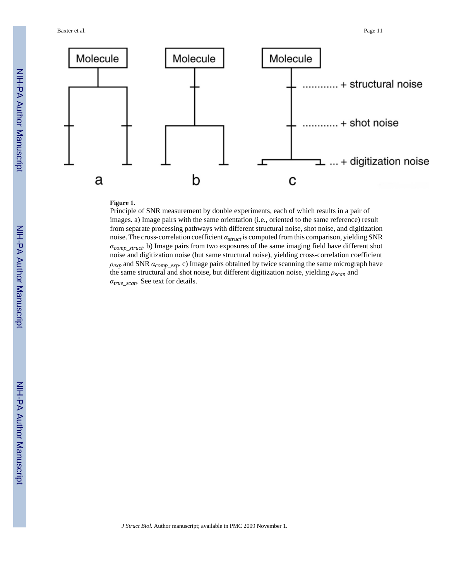Baxter et al. Page 11



#### **Figure 1.**

Principle of SNR measurement by double experiments, each of which results in a pair of images. a) Image pairs with the same orientation (i.e., oriented to the same reference) result from separate processing pathways with different structural noise, shot noise, and digitization noise. The cross-correlation coefficient *αstruct* is computed from this comparison, yielding SNR *αcomp\_struct*. b) Image pairs from two exposures of the same imaging field have different shot noise and digitization noise (but same structural noise), yielding cross-correlation coefficient *ρexp* and SNR *αcomp\_exp*. c) Image pairs obtained by twice scanning the same micrograph have the same structural and shot noise, but different digitization noise, yielding *ρscan* and *αtrue\_scan*. See text for details.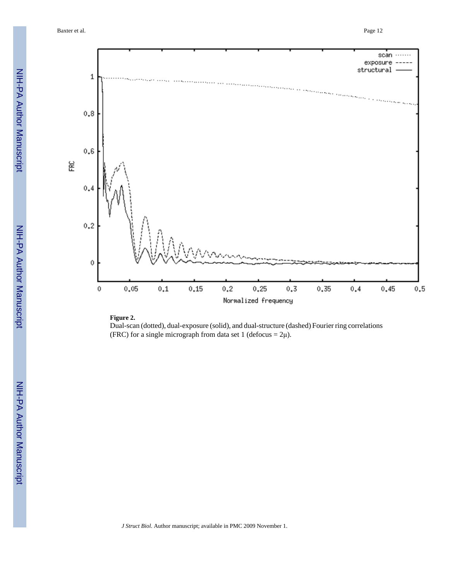

**Figure 2.**

Dual-scan (dotted), dual-exposure (solid), and dual-structure (dashed) Fourier ring correlations (FRC) for a single micrograph from data set 1 (defocus =  $2\mu$ ).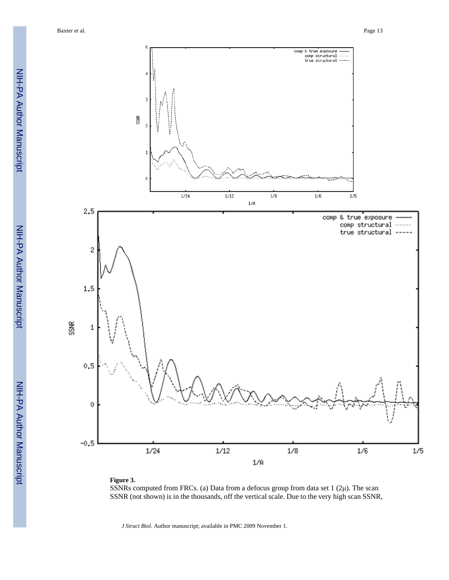Baxter et al. Page 13





SSNRs computed from FRCs. (a) Data from a defocus group from data set  $1(2\mu)$ . The scan SSNR (not shown) is in the thousands, off the vertical scale. Due to the very high scan SSNR,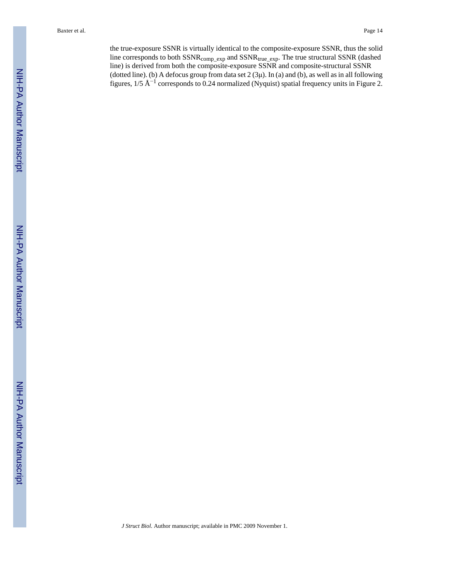the true-exposure SSNR is virtually identical to the composite-exposure SSNR, thus the solid line corresponds to both  $SSNR_{comp\_exp}$  and  $SSNR_{true\_exp}$ . The true structural SSNR (dashed line) is derived from both the composite-exposure SSNR and composite-structural SSNR (dotted line). (b) A defocus group from data set  $2(3\mu)$ . In (a) and (b), as well as in all following figures,  $1/5$  Å<sup>-1</sup> corresponds to 0.24 normalized (Nyquist) spatial frequency units in Figure 2.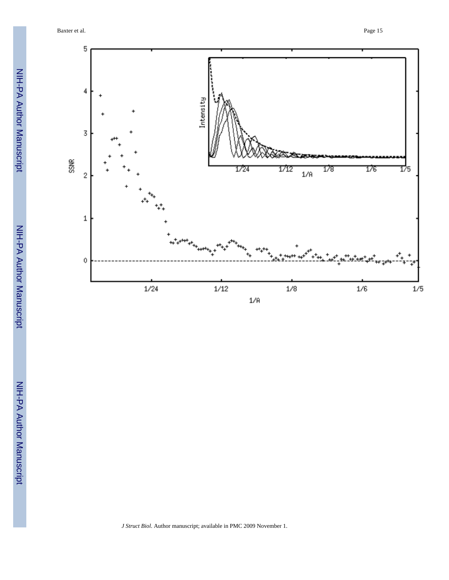Baxter et al. Page 15

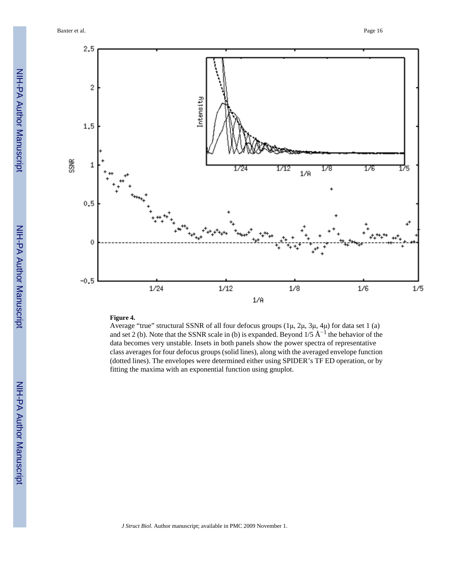

#### **Figure 4.**

Average "true" structural SSNR of all four defocus groups (1μ, 2μ, 3μ, 4μ) for data set 1 (a) and set 2 (b). Note that the SSNR scale in (b) is expanded. Beyond  $1/5 \text{ Å}^{-1}$  the behavior of the data becomes very unstable. Insets in both panels show the power spectra of representative class averages for four defocus groups (solid lines), along with the averaged envelope function (dotted lines). The envelopes were determined either using SPIDER's TF ED operation, or by fitting the maxima with an exponential function using gnuplot.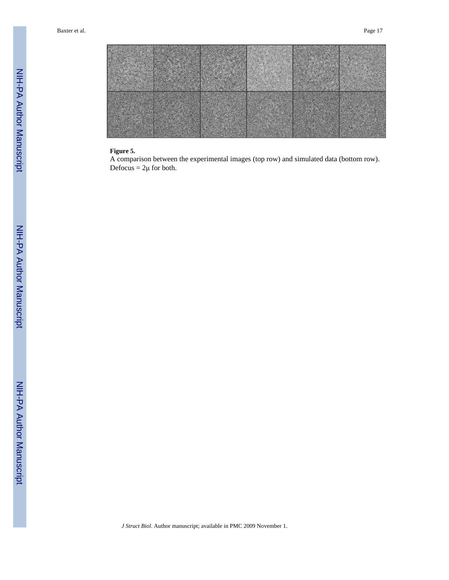

#### **Figure 5.**

A comparison between the experimental images (top row) and simulated data (bottom row). Defocus =  $2\mu$  for both.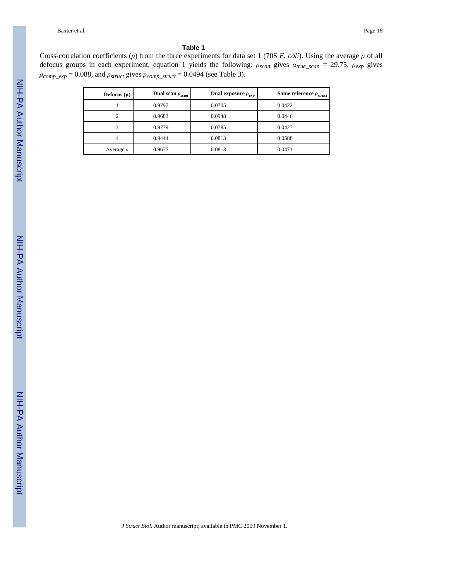Baxter et al. Page 18

#### **Table 1**

Cross-correlation coefficients (*ρ*) from the three experiments for data set 1 (70S *E. coli*). Using the average *ρ* of all defocus groups in each experiment, equation 1 yields the following:  $\rho_{scan}$  gives  $a_{true\_scan} = 29.75$ ,  $\rho_{exp}$  gives  $\rho_{comp\_exp} = 0.088$ , and  $\rho_{struct}$  gives  $\rho_{comp\_struct} = 0.0494$  (see Table 3).

| Defocus $(\mu)$ | Dual scan $\rho_{scan}$ | Dual exposure $\rho_{exp}$ | Same reference $\rho_{struct}$ |
|-----------------|-------------------------|----------------------------|--------------------------------|
|                 | 0.9797                  | 0.0705                     | 0.0422                         |
| 2               | 0.9683                  | 0.0948                     | 0.0446                         |
| 3               | 0.9779                  | 0.0785                     | 0.0427                         |
| 4               | 0.9444                  | 0.0813                     | 0.0588                         |
| Average $\rho$  | 0.9675                  | 0.0813                     | 0.0471                         |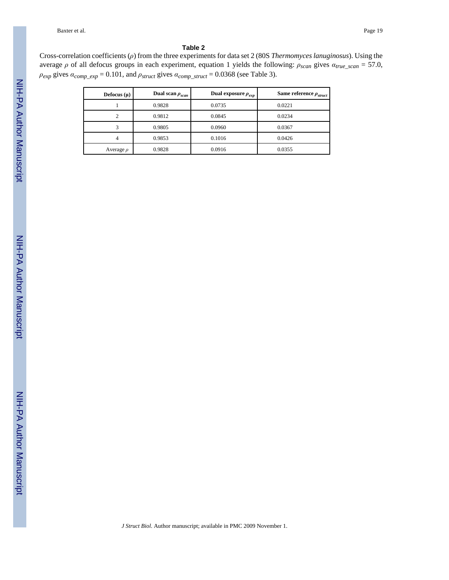Baxter et al. Page 19

#### **Table 2**

Cross-correlation coefficients (*ρ*) from the three experiments for data set 2 (80S *Thermomyces lanuginosus*). Using the average *ρ* of all defocus groups in each experiment, equation 1 yields the following:  $ρ_{scan}$  gives  $α_{true\_scan} = 57.0$ ,  $\rho_{exp}$  gives  $a_{comp\_exp} = 0.101$ , and  $\rho_{struct}$  gives  $a_{comp\_struct} = 0.0368$  (see Table 3).

| Defocus $(\mu)$ | Dual scan $\rho_{scan}$ | Dual exposure $\rho_{exp}$ | Same reference $\rho_{struct}$ |
|-----------------|-------------------------|----------------------------|--------------------------------|
|                 | 0.9828                  | 0.0735                     | 0.0221                         |
|                 | 0.9812                  | 0.0845                     | 0.0234                         |
|                 | 0.9805                  | 0.0960                     | 0.0367                         |
| 4               | 0.9853                  | 0.1016                     | 0.0426                         |
| Average $\rho$  | 0.9828                  | 0.0916                     | 0.0355                         |